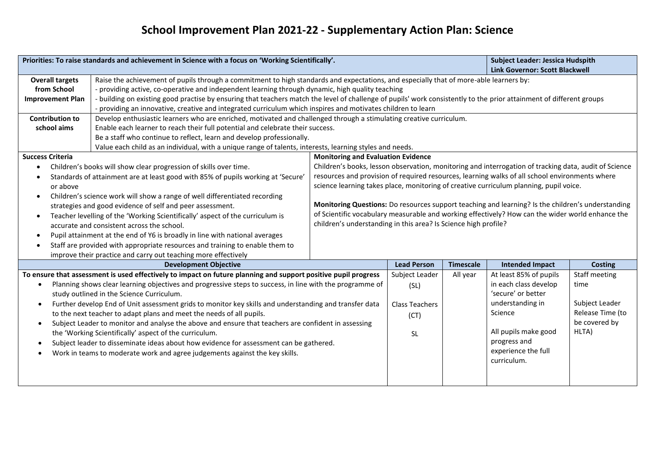## **School Improvement Plan 2021-22 - Supplementary Action Plan: Science**

| Priorities: To raise standards and achievement in Science with a focus on 'Working Scientifically'.                                                                                             |                                                                                                                                        |                                                                                                       |                                           |                      | <b>Subject Leader: Jessica Hudspith</b> |                |  |
|-------------------------------------------------------------------------------------------------------------------------------------------------------------------------------------------------|----------------------------------------------------------------------------------------------------------------------------------------|-------------------------------------------------------------------------------------------------------|-------------------------------------------|----------------------|-----------------------------------------|----------------|--|
|                                                                                                                                                                                                 |                                                                                                                                        |                                                                                                       |                                           |                      | <b>Link Governor: Scott Blackwell</b>   |                |  |
| <b>Overall targets</b>                                                                                                                                                                          | Raise the achievement of pupils through a commitment to high standards and expectations, and especially that of more-able learners by: |                                                                                                       |                                           |                      |                                         |                |  |
| from School                                                                                                                                                                                     | - providing active, co-operative and independent learning through dynamic, high quality teaching                                       |                                                                                                       |                                           |                      |                                         |                |  |
| - building on existing good practise by ensuring that teachers match the level of challenge of pupils' work consistently to the prior attainment of different groups<br><b>Improvement Plan</b> |                                                                                                                                        |                                                                                                       |                                           |                      |                                         |                |  |
| - providing an innovative, creative and integrated curriculum which inspires and motivates children to learn                                                                                    |                                                                                                                                        |                                                                                                       |                                           |                      |                                         |                |  |
| <b>Contribution to</b>                                                                                                                                                                          | Develop enthusiastic learners who are enriched, motivated and challenged through a stimulating creative curriculum.                    |                                                                                                       |                                           |                      |                                         |                |  |
| Enable each learner to reach their full potential and celebrate their success.<br>school aims                                                                                                   |                                                                                                                                        |                                                                                                       |                                           |                      |                                         |                |  |
| Be a staff who continue to reflect, learn and develop professionally.                                                                                                                           |                                                                                                                                        |                                                                                                       |                                           |                      |                                         |                |  |
|                                                                                                                                                                                                 | Value each child as an individual, with a unique range of talents, interests, learning styles and needs.                               |                                                                                                       |                                           |                      |                                         |                |  |
| <b>Success Criteria</b>                                                                                                                                                                         |                                                                                                                                        |                                                                                                       | <b>Monitoring and Evaluation Evidence</b> |                      |                                         |                |  |
| Children's books will show clear progression of skills over time.<br>$\bullet$                                                                                                                  |                                                                                                                                        | Children's books, lesson observation, monitoring and interrogation of tracking data, audit of Science |                                           |                      |                                         |                |  |
| Standards of attainment are at least good with 85% of pupils working at 'Secure'<br>$\bullet$                                                                                                   |                                                                                                                                        | resources and provision of required resources, learning walks of all school environments where        |                                           |                      |                                         |                |  |
| or above                                                                                                                                                                                        |                                                                                                                                        | science learning takes place, monitoring of creative curriculum planning, pupil voice.                |                                           |                      |                                         |                |  |
|                                                                                                                                                                                                 | Children's science work will show a range of well differentiated recording                                                             |                                                                                                       |                                           |                      |                                         |                |  |
|                                                                                                                                                                                                 | strategies and good evidence of self and peer assessment.                                                                              | Monitoring Questions: Do resources support teaching and learning? Is the children's understanding     |                                           |                      |                                         |                |  |
| $\bullet$                                                                                                                                                                                       | Teacher levelling of the 'Working Scientifically' aspect of the curriculum is                                                          | of Scientific vocabulary measurable and working effectively? How can the wider world enhance the      |                                           |                      |                                         |                |  |
| accurate and consistent across the school.                                                                                                                                                      |                                                                                                                                        | children's understanding in this area? Is Science high profile?                                       |                                           |                      |                                         |                |  |
| Pupil attainment at the end of Y6 is broadly in line with national averages<br>$\bullet$                                                                                                        |                                                                                                                                        |                                                                                                       |                                           |                      |                                         |                |  |
| Staff are provided with appropriate resources and training to enable them to                                                                                                                    |                                                                                                                                        |                                                                                                       |                                           |                      |                                         |                |  |
| improve their practice and carry out teaching more effectively                                                                                                                                  |                                                                                                                                        |                                                                                                       |                                           |                      |                                         |                |  |
|                                                                                                                                                                                                 | <b>Development Objective</b>                                                                                                           |                                                                                                       | <b>Lead Person</b>                        | <b>Timescale</b>     | <b>Intended Impact</b>                  | <b>Costing</b> |  |
|                                                                                                                                                                                                 | To ensure that assessment is used effectively to impact on future planning and support positive pupil progress                         |                                                                                                       | Subject Leader                            | All year             | At least 85% of pupils                  | Staff meeting  |  |
| $\bullet$                                                                                                                                                                                       | Planning shows clear learning objectives and progressive steps to success, in line with the programme of                               |                                                                                                       | (SL)                                      |                      | in each class develop                   | time           |  |
| study outlined in the Science Curriculum.                                                                                                                                                       |                                                                                                                                        |                                                                                                       |                                           |                      | 'secure' or better                      |                |  |
| Further develop End of Unit assessment grids to monitor key skills and understanding and transfer data<br>$\bullet$                                                                             |                                                                                                                                        | <b>Class Teachers</b>                                                                                 |                                           | understanding in     | Subject Leader                          |                |  |
| to the next teacher to adapt plans and meet the needs of all pupils.                                                                                                                            |                                                                                                                                        | (CT)                                                                                                  |                                           | Science              | Release Time (to                        |                |  |
| Subject Leader to monitor and analyse the above and ensure that teachers are confident in assessing<br>$\bullet$                                                                                |                                                                                                                                        |                                                                                                       |                                           |                      | be covered by                           |                |  |
| the 'Working Scientifically' aspect of the curriculum.                                                                                                                                          |                                                                                                                                        | <b>SL</b>                                                                                             |                                           | All pupils make good | HLTA)                                   |                |  |
| Subject leader to disseminate ideas about how evidence for assessment can be gathered.<br>$\bullet$                                                                                             |                                                                                                                                        |                                                                                                       |                                           |                      | progress and                            |                |  |
| Work in teams to moderate work and agree judgements against the key skills.<br>$\bullet$                                                                                                        |                                                                                                                                        |                                                                                                       |                                           |                      | experience the full                     |                |  |
|                                                                                                                                                                                                 |                                                                                                                                        |                                                                                                       |                                           |                      | curriculum.                             |                |  |
|                                                                                                                                                                                                 |                                                                                                                                        |                                                                                                       |                                           |                      |                                         |                |  |
|                                                                                                                                                                                                 |                                                                                                                                        |                                                                                                       |                                           |                      |                                         |                |  |